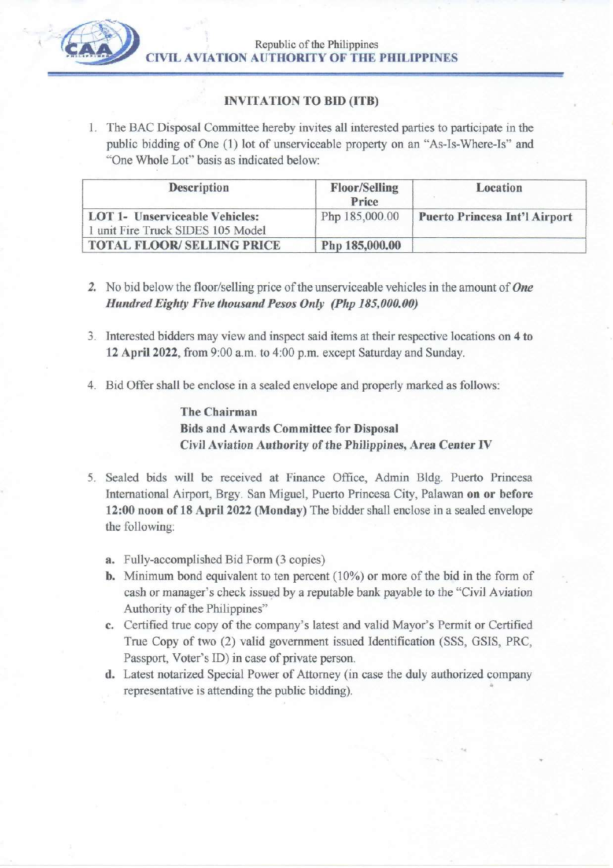

# **INVITATION TO BID (ITB)**

1. The BAC Disposal Committee hereby invites all interested parties to participate in the public bidding of One (1) lot of unserviceable property on an "As-Is-Where-Is" and "One Whole Lot" basis as indicated below:

| <b>Description</b>                                                         | <b>Floor/Selling</b><br>Price | Location                             |
|----------------------------------------------------------------------------|-------------------------------|--------------------------------------|
| <b>LOT 1- Unserviceable Vehicles:</b><br>1 unit Fire Truck SIDES 105 Model | Php 185,000.00                | <b>Puerto Princesa Int'l Airport</b> |
| <b>TOTAL FLOOR/ SELLING PRICE</b>                                          | Php 185,000.00                |                                      |

- 2. No bid below the floor/selling price of the unserviceable vehicles in the amount of One Hundred Eighty Five thousand Pesos Only (Php 185,000.00)
- 3. Interested bidders may view and inspect said items at their respective locations on 4 to 12 April 2022, from 9:00 a.m. to 4:00 p.m. except Saturday and Sunday.
- 4. Bid Offer shall be enclose in a sealed envelope and properly marked as follows:

**The Chairman Bids and Awards Committee for Disposal** Civil Aviation Authority of the Philippines, Area Center IV

- 5. Sealed bids will be received at Finance Office, Admin Bldg. Puerto Princesa International Airport, Brgy. San Miguel, Puerto Princesa City, Palawan on or before 12:00 noon of 18 April 2022 (Monday) The bidder shall enclose in a sealed envelope the following:
	- a. Fully-accomplished Bid Form (3 copies)
	- **b.** Minimum bond equivalent to ten percent  $(10\%)$  or more of the bid in the form of cash or manager's check issued by a reputable bank payable to the "Civil Aviation Authority of the Philippines"
	- c. Certified true copy of the company's latest and valid Mayor's Permit or Certified True Copy of two (2) valid government issued Identification (SSS, GSIS, PRC, Passport, Voter's ID) in case of private person.
	- d. Latest notarized Special Power of Attorney (in case the duly authorized company representative is attending the public bidding).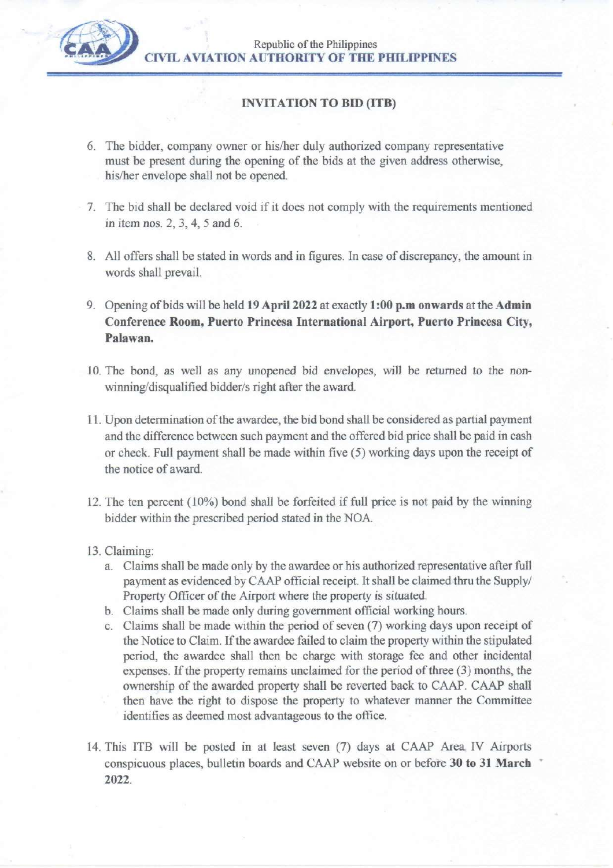

Republic of the Philippines **CIVIL AVIATION AUTHORITY OF THE PHILIPPINES** 

### **INVITATION TO BID (ITB)**

- 6. The bidder, company owner or his/her duly authorized company representative must be present during the opening of the bids at the given address otherwise, his/her envelope shall not be opened.
- 7. The bid shall be declared void if it does not comply with the requirements mentioned in item nos. 2, 3, 4, 5 and 6.
- 8. All offers shall be stated in words and in figures. In case of discrepancy, the amount in words shall prevail.
- 9. Opening of bids will be held 19 April 2022 at exactly 1:00 p.m onwards at the Admin Conference Room, Puerto Princesa International Airport, Puerto Princesa City, Palawan.
- 10. The bond, as well as any unopened bid envelopes, will be returned to the nonwinning/disqualified bidder/s right after the award.
- 11. Upon determination of the awardee, the bid bond shall be considered as partial payment and the difference between such payment and the offered bid price shall be paid in cash or check. Full payment shall be made within five (5) working days upon the receipt of the notice of award.
- 12. The ten percent (10%) bond shall be forfeited if full price is not paid by the winning bidder within the prescribed period stated in the NOA.
- 13. Claiming:
	- a. Claims shall be made only by the awardee or his authorized representative after full payment as evidenced by CAAP official receipt. It shall be claimed thru the Supply/ Property Officer of the Airport where the property is situated.
	- b. Claims shall be made only during government official working hours.
	- c. Claims shall be made within the period of seven (7) working days upon receipt of the Notice to Claim. If the awardee failed to claim the property within the stipulated period, the awardee shall then be charge with storage fee and other incidental expenses. If the property remains unclaimed for the period of three (3) months, the ownership of the awarded property shall be reverted back to CAAP. CAAP shall then have the right to dispose the property to whatever manner the Committee identifies as deemed most advantageous to the office.
- 14. This ITB will be posted in at least seven (7) days at CAAP Area IV Airports conspicuous places, bulletin boards and CAAP website on or before 30 to 31 March 2022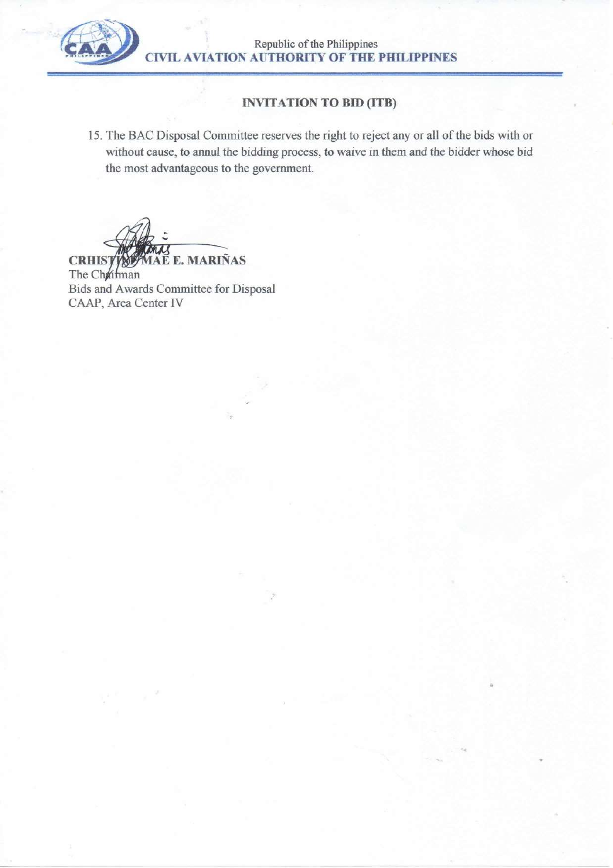

Republic of the Philippines<br>CIVIL AVIATION AUTHORITY OF THE PHILIPPINES

# **INVITATION TO BID (ITB)**

15. The BAC Disposal Committee reserves the right to reject any or all of the bids with or without cause, to annul the bidding process, to waive in them and the bidder whose bid the most advantageous to the government.

E E. MARIÑAS

**CRHIST** The Chairman Bids and Awards Committee for Disposal CAAP, Area Center IV